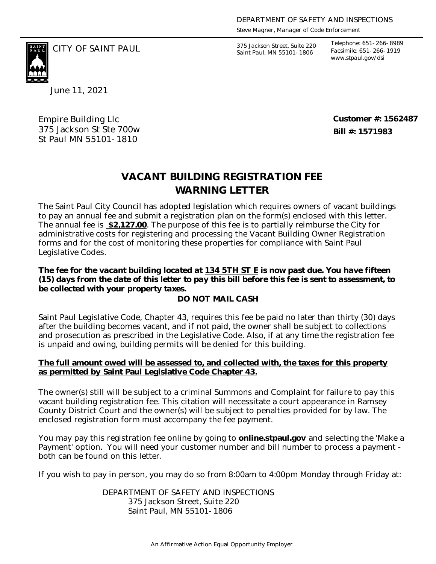*Steve Magner, Manager of Code Enforcement*

375 Jackson Street, Suite 220 *Saint Paul, MN 55101-1806*

*Telephone: 651-266-8989 Facsimile: 651-266-1919 www.stpaul.gov/dsi*

June 11, 2021

Empire Building Llc 375 Jackson St Ste 700w St Paul MN 55101-1810

CITY OF SAINT PAUL *375 Jackson Street, Suite 220* 

**Customer #: 1562487 Bill #: 1571983**

## **WARNING LETTER VACANT BUILDING REGISTRATION FEE**

The Saint Paul City Council has adopted legislation which requires owners of vacant buildings to pay an annual fee and submit a registration plan on the form(s) enclosed with this letter. The annual fee is **\$2,127.00**. The purpose of this fee is to partially reimburse the City for administrative costs for registering and processing the Vacant Building Owner Registration forms and for the cost of monitoring these properties for compliance with Saint Paul Legislative Codes.

*The fee for the vacant building located at* **134 5TH ST E** *is now past due. You have fifteen (15) days from the date of this letter to pay this bill before this fee is sent to assessment, to be collected with your property taxes.*

## **DO NOT MAIL CASH**

Saint Paul Legislative Code, Chapter 43, requires this fee be paid no later than thirty (30) days after the building becomes vacant, and if not paid, the owner shall be subject to collections and prosecution as prescribed in the Legislative Code. Also, if at any time the registration fee is unpaid and owing, building permits will be denied for this building.

## **The full amount owed will be assessed to, and collected with, the taxes for this property as permitted by Saint Paul Legislative Code Chapter 43.**

The owner(s) still will be subject to a criminal Summons and Complaint for failure to pay this vacant building registration fee. This citation will necessitate a court appearance in Ramsey County District Court and the owner(s) will be subject to penalties provided for by law. The enclosed registration form must accompany the fee payment.

You may pay this registration fee online by going to **online.stpaul.gov** and selecting the 'Make a Payment' option. You will need your customer number and bill number to process a payment both can be found on this letter.

If you wish to pay in person, you may do so from 8:00am to 4:00pm Monday through Friday at:

DEPARTMENT OF SAFETY AND INSPECTIONS 375 Jackson Street, Suite 220 Saint Paul, MN 55101-1806